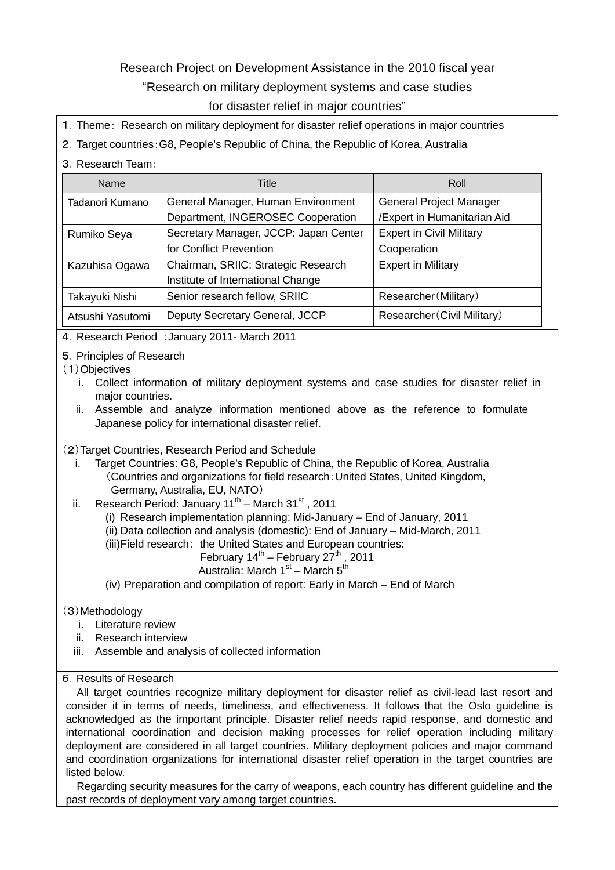# Research Project on Development Assistance in the 2010 fiscal year "Research on military deployment systems and case studies for disaster relief in major countries"

1.Theme: Research on military deployment for disaster relief operations in major countries

#### 2.Target countries:G8, People's Republic of China, the Republic of Korea, Australia

#### 3.Research Team:

| <b>Name</b>      | Title                                 | Roll                            |  |
|------------------|---------------------------------------|---------------------------------|--|
| Tadanori Kumano  | General Manager, Human Environment    | General Project Manager         |  |
|                  | Department, INGEROSEC Cooperation     | /Expert in Humanitarian Aid     |  |
| Rumiko Seya      | Secretary Manager, JCCP: Japan Center | <b>Expert in Civil Military</b> |  |
|                  | for Conflict Prevention               | Cooperation                     |  |
| Kazuhisa Ogawa   | Chairman, SRIIC: Strategic Research   | <b>Expert in Military</b>       |  |
|                  | Institute of International Change     |                                 |  |
| Takayuki Nishi   | Senior research fellow, SRIIC         | Researcher (Military)           |  |
| Atsushi Yasutomi | Deputy Secretary General, JCCP        | Researcher (Civil Military)     |  |

4.Research Period :January 2011- March 2011

5.Principles of Research

### (1)Objectives

- i. Collect information of military deployment systems and case studies for disaster relief in major countries.
- ii. Assemble and analyze information mentioned above as the reference to formulate Japanese policy for international disaster relief.

## (2)Target Countries, Research Period and Schedule

- i. Target Countries: G8, People's Republic of China, the Republic of Korea, Australia (Countries and organizations for field research:United States, United Kingdom, Germany, Australia, EU, NATO)
- ii. Research Period: January  $11^{th}$  March  $31^{st}$ , 2011
	- (i) Research implementation planning: Mid-January End of January, 2011
	- (ii) Data collection and analysis (domestic): End of January Mid-March, 2011
	- (iii) Field research: the United States and European countries:
		- February  $14^{th}$  February  $27^{th}$ , 2011

## Australia: March  $1<sup>st</sup>$  – March  $5<sup>th</sup>$

(iv) Preparation and compilation of report: Early in March – End of March

## (3)Methodology

- i. Literature review
- ii. Research interview
- iii. Assemble and analysis of collected information

#### 6.Results of Research

All target countries recognize military deployment for disaster relief as civil-lead last resort and consider it in terms of needs, timeliness, and effectiveness. It follows that the Oslo guideline is acknowledged as the important principle. Disaster relief needs rapid response, and domestic and international coordination and decision making processes for relief operation including military deployment are considered in all target countries. Military deployment policies and major command and coordination organizations for international disaster relief operation in the target countries are listed below.

Regarding security measures for the carry of weapons, each country has different guideline and the past records of deployment vary among target countries.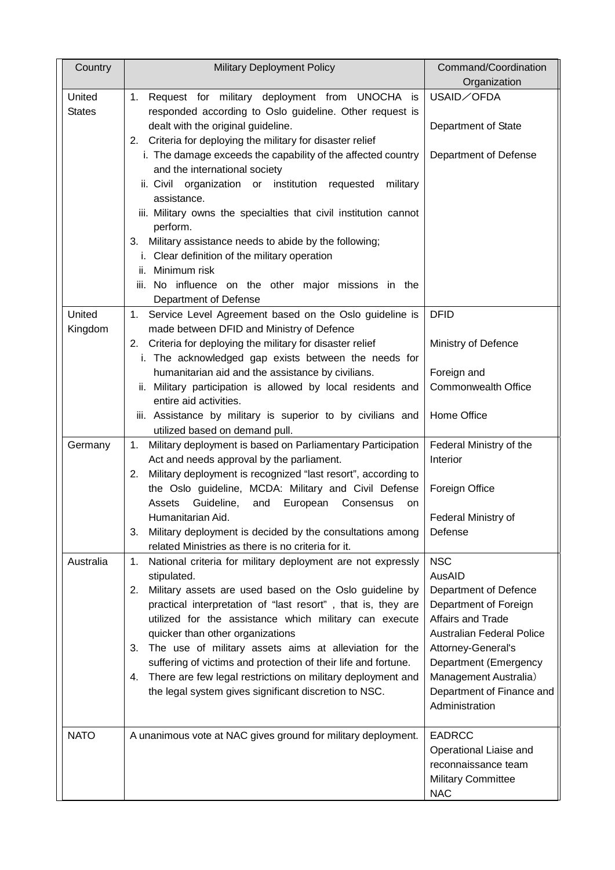| Country                 | <b>Military Deployment Policy</b>                                                                                             | Command/Coordination<br>Organization                  |
|-------------------------|-------------------------------------------------------------------------------------------------------------------------------|-------------------------------------------------------|
| United<br><b>States</b> | 1. Request for military deployment from UNOCHA is<br>responded according to Oslo guideline. Other request is                  | USAID/OFDA                                            |
|                         | dealt with the original guideline.<br>2. Criteria for deploying the military for disaster relief                              | Department of State                                   |
|                         | i. The damage exceeds the capability of the affected country<br>and the international society                                 | Department of Defense                                 |
|                         | ii. Civil<br>organization or institution requested<br>military<br>assistance.                                                 |                                                       |
|                         | iii. Military owns the specialties that civil institution cannot<br>perform.                                                  |                                                       |
|                         | 3. Military assistance needs to abide by the following;<br>i. Clear definition of the military operation                      |                                                       |
|                         | ii. Minimum risk<br>iii. No influence on the other major missions in the                                                      |                                                       |
|                         | Department of Defense                                                                                                         |                                                       |
| United<br>Kingdom       | 1. Service Level Agreement based on the Oslo guideline is<br>made between DFID and Ministry of Defence                        | <b>DFID</b>                                           |
|                         | 2. Criteria for deploying the military for disaster relief<br>i. The acknowledged gap exists between the needs for            | Ministry of Defence                                   |
|                         | humanitarian aid and the assistance by civilians.                                                                             | Foreign and                                           |
|                         | ii. Military participation is allowed by local residents and<br>entire aid activities.                                        | <b>Commonwealth Office</b>                            |
|                         | iii. Assistance by military is superior to by civilians and<br>utilized based on demand pull.                                 | Home Office                                           |
| Germany                 | Military deployment is based on Parliamentary Participation<br>1.<br>Act and needs approval by the parliament.                | Federal Ministry of the<br>Interior                   |
|                         | Military deployment is recognized "last resort", according to<br>2.<br>the Oslo guideline, MCDA: Military and Civil Defense   | Foreign Office                                        |
|                         | Assets<br>Guideline,<br>and<br>European<br>Consensus<br>on<br>Humanitarian Aid.                                               | Federal Ministry of                                   |
|                         | Military deployment is decided by the consultations among<br>3.<br>related Ministries as there is no criteria for it.         | Defense                                               |
| Australia               | National criteria for military deployment are not expressly<br>1.<br>stipulated.                                              | <b>NSC</b><br>AusAID                                  |
|                         | Military assets are used based on the Oslo guideline by<br>2.<br>practical interpretation of "last resort", that is, they are | Department of Defence<br>Department of Foreign        |
|                         | utilized for the assistance which military can execute                                                                        | Affairs and Trade<br><b>Australian Federal Police</b> |
|                         | quicker than other organizations<br>3. The use of military assets aims at alleviation for the                                 | Attorney-General's                                    |
|                         | suffering of victims and protection of their life and fortune.                                                                | Department (Emergency                                 |
|                         | There are few legal restrictions on military deployment and<br>4.                                                             | Management Australia)                                 |
|                         | the legal system gives significant discretion to NSC.                                                                         | Department of Finance and<br>Administration           |
| <b>NATO</b>             | A unanimous vote at NAC gives ground for military deployment.                                                                 | <b>EADRCC</b>                                         |
|                         |                                                                                                                               | Operational Liaise and<br>reconnaissance team         |
|                         |                                                                                                                               | <b>Military Committee</b><br><b>NAC</b>               |
|                         |                                                                                                                               |                                                       |